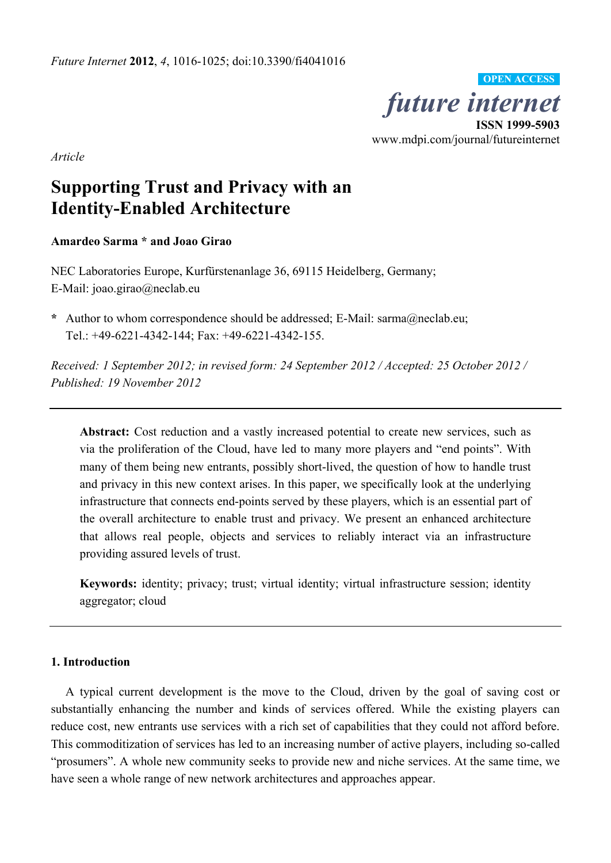

www.mdpi.com/journal/futureinternet

*Article*

# **Supporting Trust and Privacy with an Identity-Enabled Architecture**

**Amardeo Sarma \* and Joao Girao** 

NEC Laboratories Europe, Kurfürstenanlage 36, 69115 Heidelberg, Germany; E-Mail: joao.girao@neclab.eu

**\*** Author to whom correspondence should be addressed; E-Mail: sarma@neclab.eu; Tel.: +49-6221-4342-144; Fax: +49-6221-4342-155.

*Received: 1 September 2012; in revised form: 24 September 2012 / Accepted: 25 October 2012 / Published: 19 November 2012* 

Abstract: Cost reduction and a vastly increased potential to create new services, such as via the proliferation of the Cloud, have led to many more players and "end points". With many of them being new entrants, possibly short-lived, the question of how to handle trust and privacy in this new context arises. In this paper, we specifically look at the underlying infrastructure that connects end-points served by these players, which is an essential part of the overall architecture to enable trust and privacy. We present an enhanced architecture that allows real people, objects and services to reliably interact via an infrastructure providing assured levels of trust.

**Keywords:** identity; privacy; trust; virtual identity; virtual infrastructure session; identity aggregator; cloud

### **1. Introduction**

A typical current development is the move to the Cloud, driven by the goal of saving cost or substantially enhancing the number and kinds of services offered. While the existing players can reduce cost, new entrants use services with a rich set of capabilities that they could not afford before. This commoditization of services has led to an increasing number of active players, including so-called "prosumers". A whole new community seeks to provide new and niche services. At the same time, we have seen a whole range of new network architectures and approaches appear.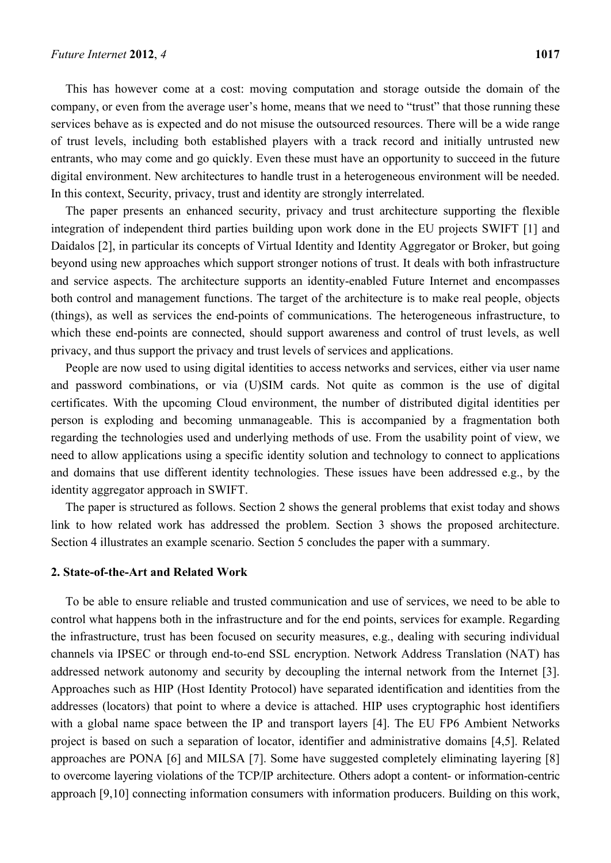This has however come at a cost: moving computation and storage outside the domain of the company, or even from the average user's home, means that we need to "trust" that those running these services behave as is expected and do not misuse the outsourced resources. There will be a wide range of trust levels, including both established players with a track record and initially untrusted new entrants, who may come and go quickly. Even these must have an opportunity to succeed in the future digital environment. New architectures to handle trust in a heterogeneous environment will be needed. In this context, Security, privacy, trust and identity are strongly interrelated.

The paper presents an enhanced security, privacy and trust architecture supporting the flexible integration of independent third parties building upon work done in the EU projects SWIFT [1] and Daidalos [2], in particular its concepts of Virtual Identity and Identity Aggregator or Broker, but going beyond using new approaches which support stronger notions of trust. It deals with both infrastructure and service aspects. The architecture supports an identity-enabled Future Internet and encompasses both control and management functions. The target of the architecture is to make real people, objects (things), as well as services the end-points of communications. The heterogeneous infrastructure, to which these end-points are connected, should support awareness and control of trust levels, as well privacy, and thus support the privacy and trust levels of services and applications.

People are now used to using digital identities to access networks and services, either via user name and password combinations, or via (U)SIM cards. Not quite as common is the use of digital certificates. With the upcoming Cloud environment, the number of distributed digital identities per person is exploding and becoming unmanageable. This is accompanied by a fragmentation both regarding the technologies used and underlying methods of use. From the usability point of view, we need to allow applications using a specific identity solution and technology to connect to applications and domains that use different identity technologies. These issues have been addressed e.g., by the identity aggregator approach in SWIFT.

The paper is structured as follows. Section 2 shows the general problems that exist today and shows link to how related work has addressed the problem. Section 3 shows the proposed architecture. Section 4 illustrates an example scenario. Section 5 concludes the paper with a summary.

#### **2. State-of-the-Art and Related Work**

To be able to ensure reliable and trusted communication and use of services, we need to be able to control what happens both in the infrastructure and for the end points, services for example. Regarding the infrastructure, trust has been focused on security measures, e.g., dealing with securing individual channels via IPSEC or through end-to-end SSL encryption. Network Address Translation (NAT) has addressed network autonomy and security by decoupling the internal network from the Internet [3]. Approaches such as HIP (Host Identity Protocol) have separated identification and identities from the addresses (locators) that point to where a device is attached. HIP uses cryptographic host identifiers with a global name space between the IP and transport layers [4]. The EU FP6 Ambient Networks project is based on such a separation of locator, identifier and administrative domains [4,5]. Related approaches are PONA [6] and MILSA [7]. Some have suggested completely eliminating layering [8] to overcome layering violations of the TCP/IP architecture. Others adopt a content- or information-centric approach [9,10] connecting information consumers with information producers. Building on this work,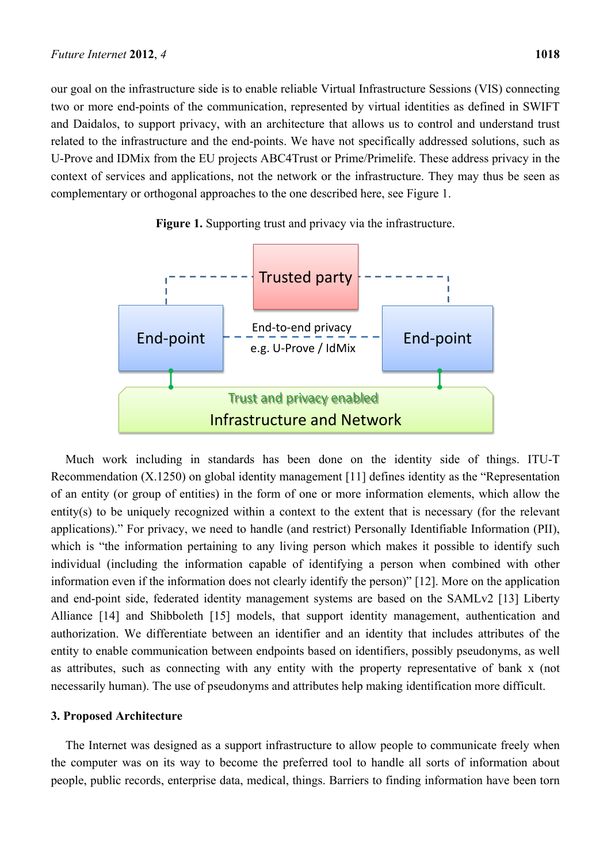our goal on the infrastructure side is to enable reliable Virtual Infrastructure Sessions (VIS) connecting two or more end-points of the communication, represented by virtual identities as defined in SWIFT and Daidalos, to support privacy, with an architecture that allows us to control and understand trust related to the infrastructure and the end-points. We have not specifically addressed solutions, such as U-Prove and IDMix from the EU projects ABC4Trust or Prime/Primelife. These address privacy in the context of services and applications, not the network or the infrastructure. They may thus be seen as complementary or orthogonal approaches to the one described here, see Figure 1.



**Figure 1.** Supporting trust and privacy via the infrastructure.

Much work including in standards has been done on the identity side of things. ITU-T Recommendation (X.1250) on global identity management [11] defines identity as the "Representation of an entity (or group of entities) in the form of one or more information elements, which allow the entity(s) to be uniquely recognized within a context to the extent that is necessary (for the relevant applications)." For privacy, we need to handle (and restrict) Personally Identifiable Information (PII), which is "the information pertaining to any living person which makes it possible to identify such individual (including the information capable of identifying a person when combined with other information even if the information does not clearly identify the person)" [12]. More on the application and end-point side, federated identity management systems are based on the SAMLv2 [13] Liberty Alliance [14] and Shibboleth [15] models, that support identity management, authentication and authorization. We differentiate between an identifier and an identity that includes attributes of the entity to enable communication between endpoints based on identifiers, possibly pseudonyms, as well as attributes, such as connecting with any entity with the property representative of bank x (not necessarily human). The use of pseudonyms and attributes help making identification more difficult.

### **3. Proposed Architecture**

The Internet was designed as a support infrastructure to allow people to communicate freely when the computer was on its way to become the preferred tool to handle all sorts of information about people, public records, enterprise data, medical, things. Barriers to finding information have been torn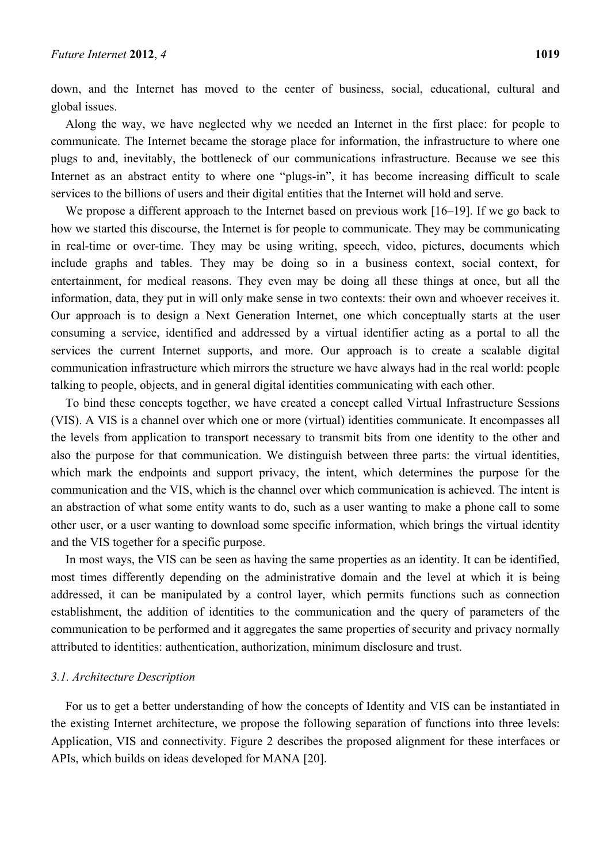down, and the Internet has moved to the center of business, social, educational, cultural and global issues.

Along the way, we have neglected why we needed an Internet in the first place: for people to communicate. The Internet became the storage place for information, the infrastructure to where one plugs to and, inevitably, the bottleneck of our communications infrastructure. Because we see this Internet as an abstract entity to where one "plugs-in", it has become increasing difficult to scale services to the billions of users and their digital entities that the Internet will hold and serve.

We propose a different approach to the Internet based on previous work [16–19]. If we go back to how we started this discourse, the Internet is for people to communicate. They may be communicating in real-time or over-time. They may be using writing, speech, video, pictures, documents which include graphs and tables. They may be doing so in a business context, social context, for entertainment, for medical reasons. They even may be doing all these things at once, but all the information, data, they put in will only make sense in two contexts: their own and whoever receives it. Our approach is to design a Next Generation Internet, one which conceptually starts at the user consuming a service, identified and addressed by a virtual identifier acting as a portal to all the services the current Internet supports, and more. Our approach is to create a scalable digital communication infrastructure which mirrors the structure we have always had in the real world: people talking to people, objects, and in general digital identities communicating with each other.

To bind these concepts together, we have created a concept called Virtual Infrastructure Sessions (VIS). A VIS is a channel over which one or more (virtual) identities communicate. It encompasses all the levels from application to transport necessary to transmit bits from one identity to the other and also the purpose for that communication. We distinguish between three parts: the virtual identities, which mark the endpoints and support privacy, the intent, which determines the purpose for the communication and the VIS, which is the channel over which communication is achieved. The intent is an abstraction of what some entity wants to do, such as a user wanting to make a phone call to some other user, or a user wanting to download some specific information, which brings the virtual identity and the VIS together for a specific purpose.

In most ways, the VIS can be seen as having the same properties as an identity. It can be identified, most times differently depending on the administrative domain and the level at which it is being addressed, it can be manipulated by a control layer, which permits functions such as connection establishment, the addition of identities to the communication and the query of parameters of the communication to be performed and it aggregates the same properties of security and privacy normally attributed to identities: authentication, authorization, minimum disclosure and trust.

#### *3.1. Architecture Description*

For us to get a better understanding of how the concepts of Identity and VIS can be instantiated in the existing Internet architecture, we propose the following separation of functions into three levels: Application, VIS and connectivity. Figure 2 describes the proposed alignment for these interfaces or APIs, which builds on ideas developed for MANA [20].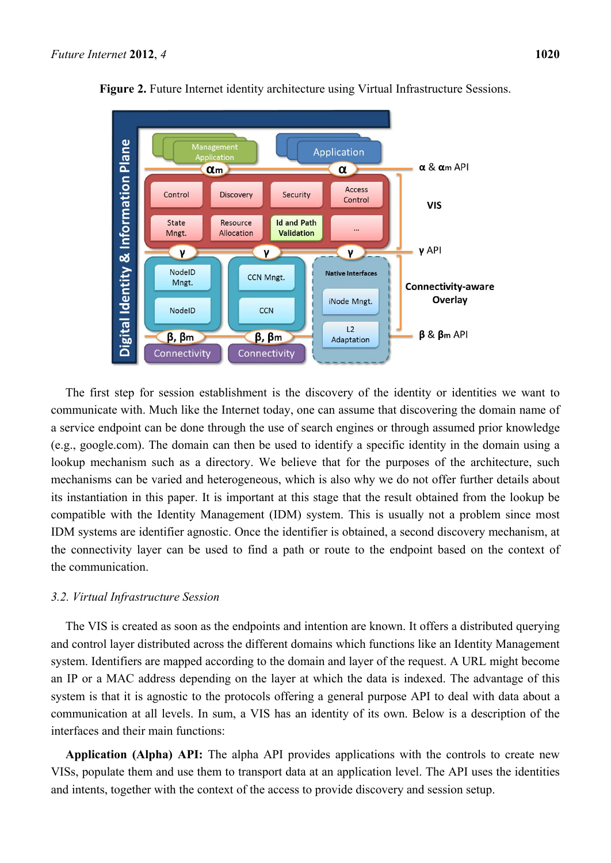

**Figure 2.** Future Internet identity architecture using Virtual Infrastructure Sessions.

The first step for session establishment is the discovery of the identity or identities we want to communicate with. Much like the Internet today, one can assume that discovering the domain name of a service endpoint can be done through the use of search engines or through assumed prior knowledge (e.g., google.com). The domain can then be used to identify a specific identity in the domain using a lookup mechanism such as a directory. We believe that for the purposes of the architecture, such mechanisms can be varied and heterogeneous, which is also why we do not offer further details about its instantiation in this paper. It is important at this stage that the result obtained from the lookup be compatible with the Identity Management (IDM) system. This is usually not a problem since most IDM systems are identifier agnostic. Once the identifier is obtained, a second discovery mechanism, at the connectivity layer can be used to find a path or route to the endpoint based on the context of the communication.

#### *3.2. Virtual Infrastructure Session*

The VIS is created as soon as the endpoints and intention are known. It offers a distributed querying and control layer distributed across the different domains which functions like an Identity Management system. Identifiers are mapped according to the domain and layer of the request. A URL might become an IP or a MAC address depending on the layer at which the data is indexed. The advantage of this system is that it is agnostic to the protocols offering a general purpose API to deal with data about a communication at all levels. In sum, a VIS has an identity of its own. Below is a description of the interfaces and their main functions:

**Application (Alpha) API:** The alpha API provides applications with the controls to create new VISs, populate them and use them to transport data at an application level. The API uses the identities and intents, together with the context of the access to provide discovery and session setup.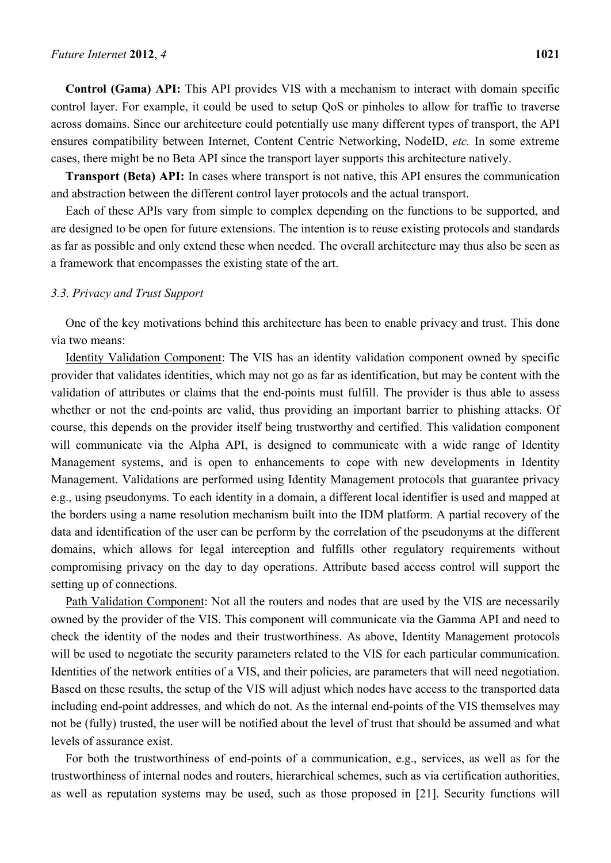**Control (Gama) API:** This API provides VIS with a mechanism to interact with domain specific control layer. For example, it could be used to setup QoS or pinholes to allow for traffic to traverse across domains. Since our architecture could potentially use many different types of transport, the API ensures compatibility between Internet, Content Centric Networking, NodeID, *etc.* In some extreme cases, there might be no Beta API since the transport layer supports this architecture natively.

**Transport (Beta) API:** In cases where transport is not native, this API ensures the communication and abstraction between the different control layer protocols and the actual transport.

Each of these APIs vary from simple to complex depending on the functions to be supported, and are designed to be open for future extensions. The intention is to reuse existing protocols and standards as far as possible and only extend these when needed. The overall architecture may thus also be seen as a framework that encompasses the existing state of the art.

#### *3.3. Privacy and Trust Support*

One of the key motivations behind this architecture has been to enable privacy and trust. This done via two means:

Identity Validation Component: The VIS has an identity validation component owned by specific provider that validates identities, which may not go as far as identification, but may be content with the validation of attributes or claims that the end-points must fulfill. The provider is thus able to assess whether or not the end-points are valid, thus providing an important barrier to phishing attacks. Of course, this depends on the provider itself being trustworthy and certified. This validation component will communicate via the Alpha API, is designed to communicate with a wide range of Identity Management systems, and is open to enhancements to cope with new developments in Identity Management. Validations are performed using Identity Management protocols that guarantee privacy e.g., using pseudonyms. To each identity in a domain, a different local identifier is used and mapped at the borders using a name resolution mechanism built into the IDM platform. A partial recovery of the data and identification of the user can be perform by the correlation of the pseudonyms at the different domains, which allows for legal interception and fulfills other regulatory requirements without compromising privacy on the day to day operations. Attribute based access control will support the setting up of connections.

Path Validation Component: Not all the routers and nodes that are used by the VIS are necessarily owned by the provider of the VIS. This component will communicate via the Gamma API and need to check the identity of the nodes and their trustworthiness. As above, Identity Management protocols will be used to negotiate the security parameters related to the VIS for each particular communication. Identities of the network entities of a VIS, and their policies, are parameters that will need negotiation. Based on these results, the setup of the VIS will adjust which nodes have access to the transported data including end-point addresses, and which do not. As the internal end-points of the VIS themselves may not be (fully) trusted, the user will be notified about the level of trust that should be assumed and what levels of assurance exist.

For both the trustworthiness of end-points of a communication, e.g., services, as well as for the trustworthiness of internal nodes and routers, hierarchical schemes, such as via certification authorities, as well as reputation systems may be used, such as those proposed in [21]. Security functions will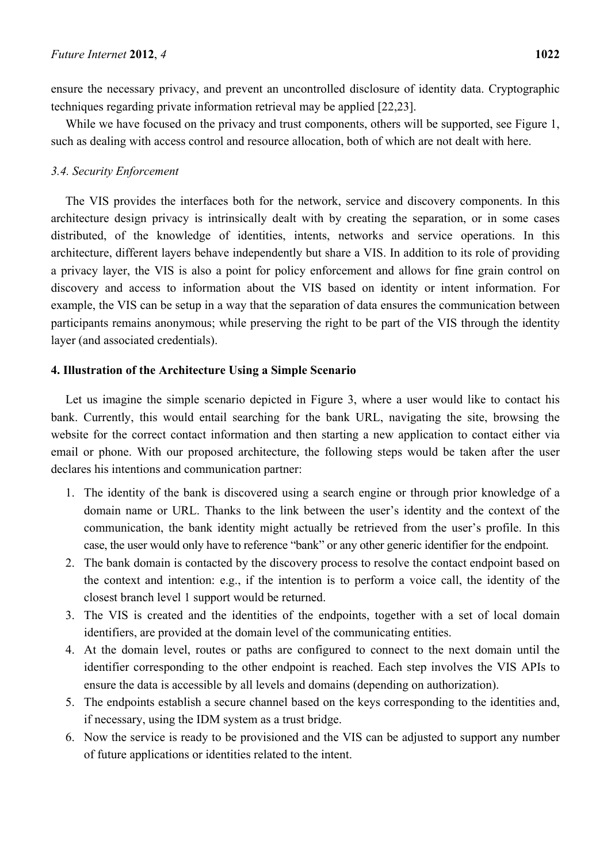ensure the necessary privacy, and prevent an uncontrolled disclosure of identity data. Cryptographic techniques regarding private information retrieval may be applied [22,23].

While we have focused on the privacy and trust components, others will be supported, see Figure 1, such as dealing with access control and resource allocation, both of which are not dealt with here.

## *3.4. Security Enforcement*

The VIS provides the interfaces both for the network, service and discovery components. In this architecture design privacy is intrinsically dealt with by creating the separation, or in some cases distributed, of the knowledge of identities, intents, networks and service operations. In this architecture, different layers behave independently but share a VIS. In addition to its role of providing a privacy layer, the VIS is also a point for policy enforcement and allows for fine grain control on discovery and access to information about the VIS based on identity or intent information. For example, the VIS can be setup in a way that the separation of data ensures the communication between participants remains anonymous; while preserving the right to be part of the VIS through the identity layer (and associated credentials).

# **4. Illustration of the Architecture Using a Simple Scenario**

Let us imagine the simple scenario depicted in Figure 3, where a user would like to contact his bank. Currently, this would entail searching for the bank URL, navigating the site, browsing the website for the correct contact information and then starting a new application to contact either via email or phone. With our proposed architecture, the following steps would be taken after the user declares his intentions and communication partner:

- 1. The identity of the bank is discovered using a search engine or through prior knowledge of a domain name or URL. Thanks to the link between the user's identity and the context of the communication, the bank identity might actually be retrieved from the user's profile. In this case, the user would only have to reference "bank" or any other generic identifier for the endpoint.
- 2. The bank domain is contacted by the discovery process to resolve the contact endpoint based on the context and intention: e.g., if the intention is to perform a voice call, the identity of the closest branch level 1 support would be returned.
- 3. The VIS is created and the identities of the endpoints, together with a set of local domain identifiers, are provided at the domain level of the communicating entities.
- 4. At the domain level, routes or paths are configured to connect to the next domain until the identifier corresponding to the other endpoint is reached. Each step involves the VIS APIs to ensure the data is accessible by all levels and domains (depending on authorization).
- 5. The endpoints establish a secure channel based on the keys corresponding to the identities and, if necessary, using the IDM system as a trust bridge.
- 6. Now the service is ready to be provisioned and the VIS can be adjusted to support any number of future applications or identities related to the intent.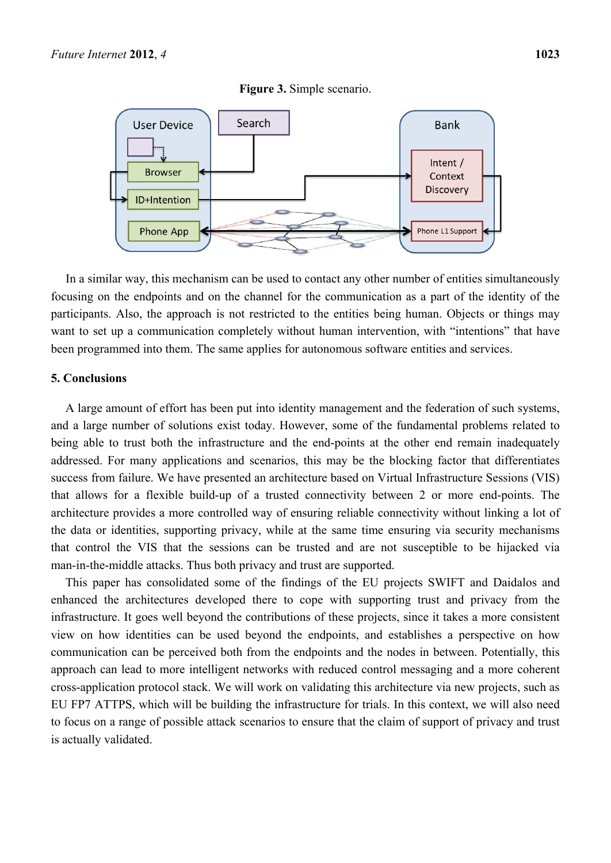



In a similar way, this mechanism can be used to contact any other number of entities simultaneously focusing on the endpoints and on the channel for the communication as a part of the identity of the participants. Also, the approach is not restricted to the entities being human. Objects or things may want to set up a communication completely without human intervention, with "intentions" that have been programmed into them. The same applies for autonomous software entities and services.

### **5. Conclusions**

A large amount of effort has been put into identity management and the federation of such systems, and a large number of solutions exist today. However, some of the fundamental problems related to being able to trust both the infrastructure and the end-points at the other end remain inadequately addressed. For many applications and scenarios, this may be the blocking factor that differentiates success from failure. We have presented an architecture based on Virtual Infrastructure Sessions (VIS) that allows for a flexible build-up of a trusted connectivity between 2 or more end-points. The architecture provides a more controlled way of ensuring reliable connectivity without linking a lot of the data or identities, supporting privacy, while at the same time ensuring via security mechanisms that control the VIS that the sessions can be trusted and are not susceptible to be hijacked via man-in-the-middle attacks. Thus both privacy and trust are supported.

This paper has consolidated some of the findings of the EU projects SWIFT and Daidalos and enhanced the architectures developed there to cope with supporting trust and privacy from the infrastructure. It goes well beyond the contributions of these projects, since it takes a more consistent view on how identities can be used beyond the endpoints, and establishes a perspective on how communication can be perceived both from the endpoints and the nodes in between. Potentially, this approach can lead to more intelligent networks with reduced control messaging and a more coherent cross-application protocol stack. We will work on validating this architecture via new projects, such as EU FP7 ATTPS, which will be building the infrastructure for trials. In this context, we will also need to focus on a range of possible attack scenarios to ensure that the claim of support of privacy and trust is actually validated.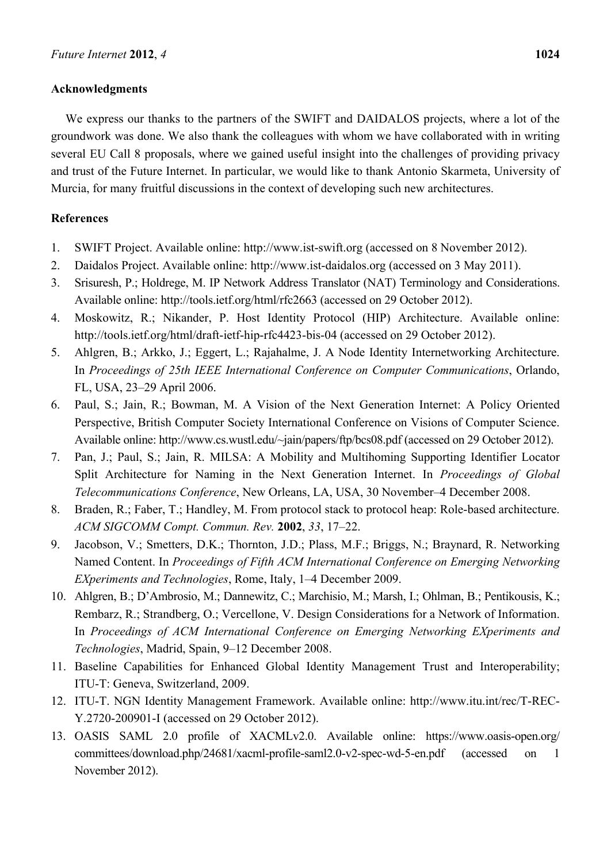## **Acknowledgments**

We express our thanks to the partners of the SWIFT and DAIDALOS projects, where a lot of the groundwork was done. We also thank the colleagues with whom we have collaborated with in writing several EU Call 8 proposals, where we gained useful insight into the challenges of providing privacy and trust of the Future Internet. In particular, we would like to thank Antonio Skarmeta, University of Murcia, for many fruitful discussions in the context of developing such new architectures.

## **References**

- 1. SWIFT Project. Available online: http://www.ist-swift.org (accessed on 8 November 2012).
- 2. Daidalos Project. Available online: http://www.ist-daidalos.org (accessed on 3 May 2011).
- 3. Srisuresh, P.; Holdrege, M. IP Network Address Translator (NAT) Terminology and Considerations. Available online: http://tools.ietf.org/html/rfc2663 (accessed on 29 October 2012).
- 4. Moskowitz, R.; Nikander, P. Host Identity Protocol (HIP) Architecture. Available online: http://tools.ietf.org/html/draft-ietf-hip-rfc4423-bis-04 (accessed on 29 October 2012).
- 5. Ahlgren, B.; Arkko, J.; Eggert, L.; Rajahalme, J. A Node Identity Internetworking Architecture. In *Proceedings of 25th IEEE International Conference on Computer Communications*, Orlando, FL, USA, 23–29 April 2006.
- 6. Paul, S.; Jain, R.; Bowman, M. A Vision of the Next Generation Internet: A Policy Oriented Perspective, British Computer Society International Conference on Visions of Computer Science. Available online: http://www.cs.wustl.edu/~jain/papers/ftp/bcs08.pdf (accessed on 29 October 2012).
- 7. Pan, J.; Paul, S.; Jain, R. MILSA: A Mobility and Multihoming Supporting Identifier Locator Split Architecture for Naming in the Next Generation Internet. In *Proceedings of Global Telecommunications Conference*, New Orleans, LA, USA, 30 November–4 December 2008.
- 8. Braden, R.; Faber, T.; Handley, M. From protocol stack to protocol heap: Role-based architecture. *ACM SIGCOMM Compt. Commun. Rev.* **2002**, *33*, 17–22.
- 9. Jacobson, V.; Smetters, D.K.; Thornton, J.D.; Plass, M.F.; Briggs, N.; Braynard, R. Networking Named Content. In *Proceedings of Fifth ACM International Conference on Emerging Networking EXperiments and Technologies*, Rome, Italy, 1–4 December 2009.
- 10. Ahlgren, B.; D'Ambrosio, M.; Dannewitz, C.; Marchisio, M.; Marsh, I.; Ohlman, B.; Pentikousis, K.; Rembarz, R.; Strandberg, O.; Vercellone, V. Design Considerations for a Network of Information. In *Proceedings of ACM International Conference on Emerging Networking EXperiments and Technologies*, Madrid, Spain, 9–12 December 2008.
- 11. Baseline Capabilities for Enhanced Global Identity Management Trust and Interoperability; ITU-T: Geneva, Switzerland, 2009.
- 12. ITU-T. NGN Identity Management Framework. Available online: http://www.itu.int/rec/T-REC-Y.2720-200901-I (accessed on 29 October 2012).
- 13. OASIS SAML 2.0 profile of XACMLv2.0. Available online: https://www.oasis-open.org/ committees/download.php/24681/xacml-profile-saml2.0-v2-spec-wd-5-en.pdf (accessed on 1 November 2012).